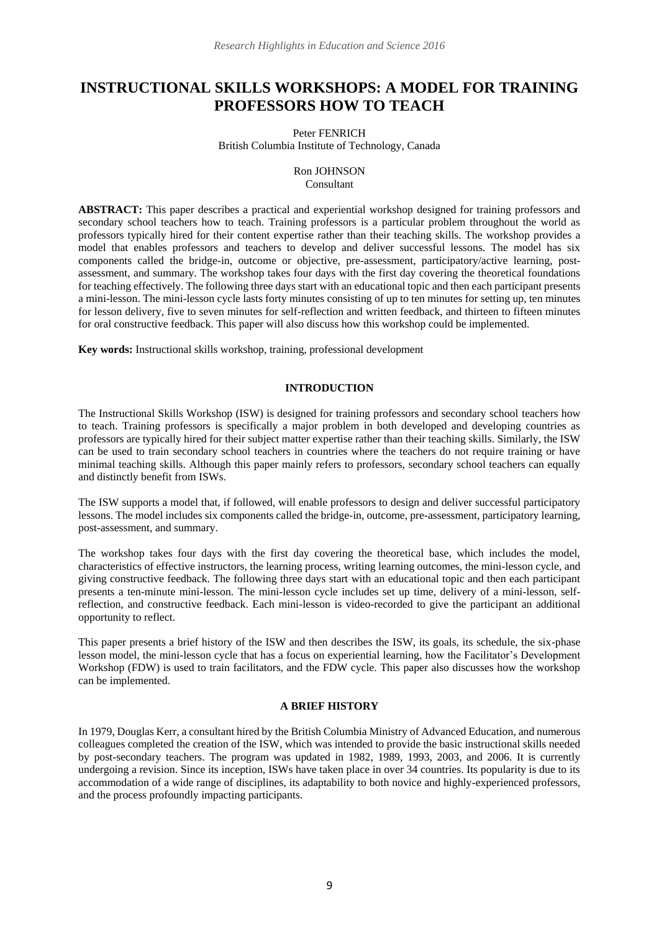# **INSTRUCTIONAL SKILLS WORKSHOPS: A MODEL FOR TRAINING PROFESSORS HOW TO TEACH**

#### Peter FENRICH British Columbia Institute of Technology, Canada

### Ron JOHNSON Consultant

**ABSTRACT:** This paper describes a practical and experiential workshop designed for training professors and secondary school teachers how to teach. Training professors is a particular problem throughout the world as professors typically hired for their content expertise rather than their teaching skills. The workshop provides a model that enables professors and teachers to develop and deliver successful lessons. The model has six components called the bridge-in, outcome or objective, pre-assessment, participatory/active learning, postassessment, and summary. The workshop takes four days with the first day covering the theoretical foundations for teaching effectively. The following three days start with an educational topic and then each participant presents a mini-lesson. The mini-lesson cycle lasts forty minutes consisting of up to ten minutes for setting up, ten minutes for lesson delivery, five to seven minutes for self-reflection and written feedback, and thirteen to fifteen minutes for oral constructive feedback. This paper will also discuss how this workshop could be implemented.

**Key words:** Instructional skills workshop, training, professional development

## **INTRODUCTION**

The Instructional Skills Workshop (ISW) is designed for training professors and secondary school teachers how to teach. Training professors is specifically a major problem in both developed and developing countries as professors are typically hired for their subject matter expertise rather than their teaching skills. Similarly, the ISW can be used to train secondary school teachers in countries where the teachers do not require training or have minimal teaching skills. Although this paper mainly refers to professors, secondary school teachers can equally and distinctly benefit from ISWs.

The ISW supports a model that, if followed, will enable professors to design and deliver successful participatory lessons. The model includes six components called the bridge-in, outcome, pre-assessment, participatory learning, post-assessment, and summary.

The workshop takes four days with the first day covering the theoretical base, which includes the model, characteristics of effective instructors, the learning process, writing learning outcomes, the mini-lesson cycle, and giving constructive feedback. The following three days start with an educational topic and then each participant presents a ten-minute mini-lesson. The mini-lesson cycle includes set up time, delivery of a mini-lesson, selfreflection, and constructive feedback. Each mini-lesson is video-recorded to give the participant an additional opportunity to reflect.

This paper presents a brief history of the ISW and then describes the ISW, its goals, its schedule, the six-phase lesson model, the mini-lesson cycle that has a focus on experiential learning, how the Facilitator's Development Workshop (FDW) is used to train facilitators, and the FDW cycle. This paper also discusses how the workshop can be implemented.

## **A BRIEF HISTORY**

In 1979, Douglas Kerr, a consultant hired by the British Columbia Ministry of Advanced Education, and numerous colleagues completed the creation of the ISW, which was intended to provide the basic instructional skills needed by post-secondary teachers. The program was updated in 1982, 1989, 1993, 2003, and 2006. It is currently undergoing a revision. Since its inception, ISWs have taken place in over 34 countries. Its popularity is due to its accommodation of a wide range of disciplines, its adaptability to both novice and highly-experienced professors, and the process profoundly impacting participants.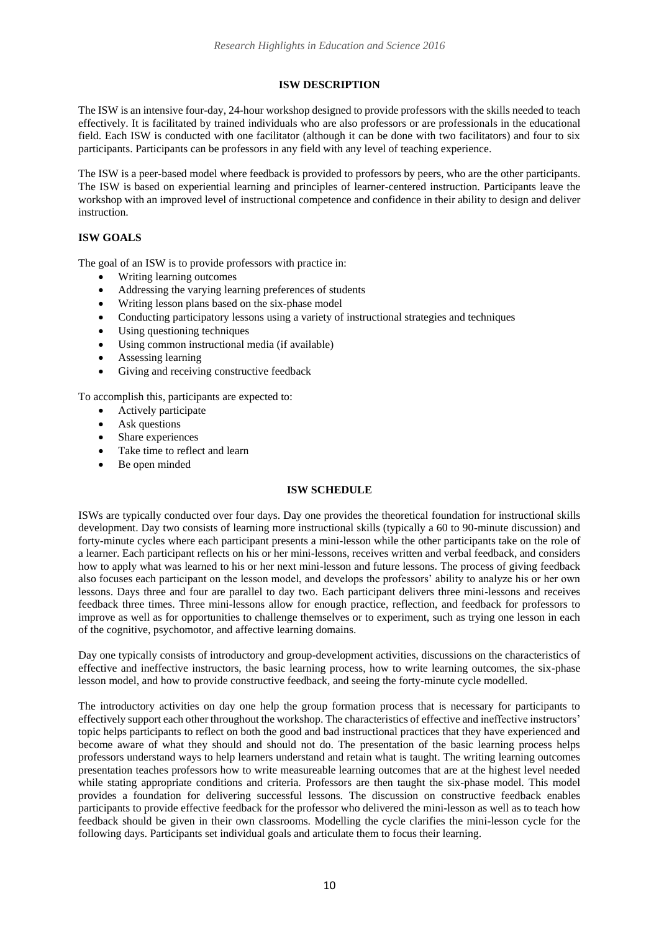## **ISW DESCRIPTION**

The ISW is an intensive four-day, 24-hour workshop designed to provide professors with the skills needed to teach effectively. It is facilitated by trained individuals who are also professors or are professionals in the educational field. Each ISW is conducted with one facilitator (although it can be done with two facilitators) and four to six participants. Participants can be professors in any field with any level of teaching experience.

The ISW is a peer-based model where feedback is provided to professors by peers, who are the other participants. The ISW is based on experiential learning and principles of learner-centered instruction. Participants leave the workshop with an improved level of instructional competence and confidence in their ability to design and deliver instruction.

## **ISW GOALS**

The goal of an ISW is to provide professors with practice in:

- Writing learning outcomes
- Addressing the varying learning preferences of students
- Writing lesson plans based on the six-phase model
- Conducting participatory lessons using a variety of instructional strategies and techniques
- Using questioning techniques
- Using common instructional media (if available)
- Assessing learning
- Giving and receiving constructive feedback

To accomplish this, participants are expected to:

- Actively participate
- Ask questions
- Share experiences
- Take time to reflect and learn
- Be open minded

## **ISW SCHEDULE**

ISWs are typically conducted over four days. Day one provides the theoretical foundation for instructional skills development. Day two consists of learning more instructional skills (typically a 60 to 90-minute discussion) and forty-minute cycles where each participant presents a mini-lesson while the other participants take on the role of a learner. Each participant reflects on his or her mini-lessons, receives written and verbal feedback, and considers how to apply what was learned to his or her next mini-lesson and future lessons. The process of giving feedback also focuses each participant on the lesson model, and develops the professors' ability to analyze his or her own lessons. Days three and four are parallel to day two. Each participant delivers three mini-lessons and receives feedback three times. Three mini-lessons allow for enough practice, reflection, and feedback for professors to improve as well as for opportunities to challenge themselves or to experiment, such as trying one lesson in each of the cognitive, psychomotor, and affective learning domains.

Day one typically consists of introductory and group-development activities, discussions on the characteristics of effective and ineffective instructors, the basic learning process, how to write learning outcomes, the six-phase lesson model, and how to provide constructive feedback, and seeing the forty-minute cycle modelled.

The introductory activities on day one help the group formation process that is necessary for participants to effectively support each other throughout the workshop. The characteristics of effective and ineffective instructors' topic helps participants to reflect on both the good and bad instructional practices that they have experienced and become aware of what they should and should not do. The presentation of the basic learning process helps professors understand ways to help learners understand and retain what is taught. The writing learning outcomes presentation teaches professors how to write measureable learning outcomes that are at the highest level needed while stating appropriate conditions and criteria. Professors are then taught the six-phase model. This model provides a foundation for delivering successful lessons. The discussion on constructive feedback enables participants to provide effective feedback for the professor who delivered the mini-lesson as well as to teach how feedback should be given in their own classrooms. Modelling the cycle clarifies the mini-lesson cycle for the following days. Participants set individual goals and articulate them to focus their learning.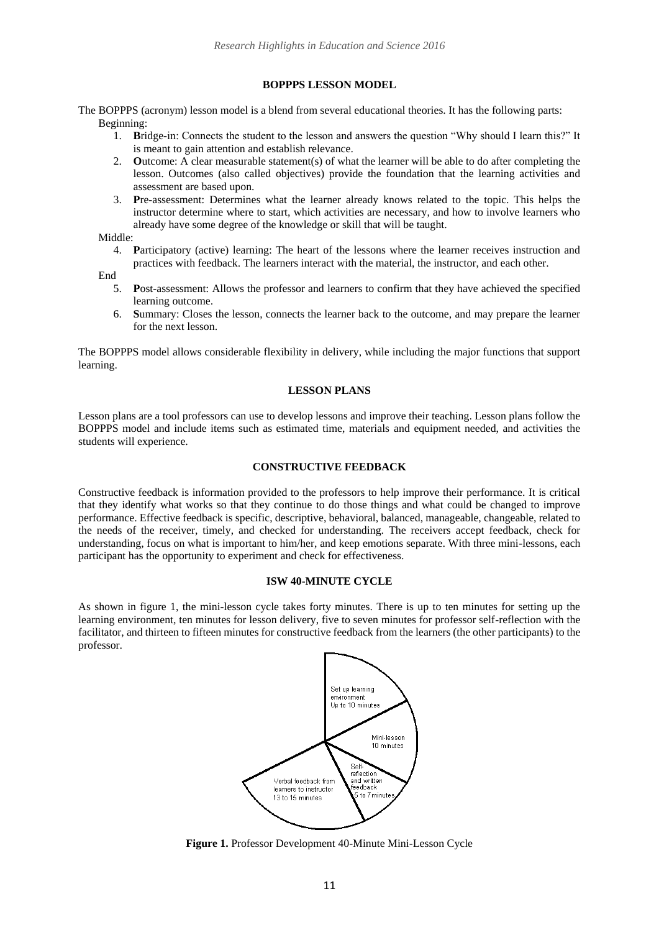#### **BOPPPS LESSON MODEL**

The BOPPPS (acronym) lesson model is a blend from several educational theories. It has the following parts: Beginning:

- 1. **B**ridge-in: Connects the student to the lesson and answers the question "Why should I learn this?" It is meant to gain attention and establish relevance.
- 2. **O**utcome: A clear measurable statement(s) of what the learner will be able to do after completing the lesson. Outcomes (also called objectives) provide the foundation that the learning activities and assessment are based upon.
- 3. **P**re-assessment: Determines what the learner already knows related to the topic. This helps the instructor determine where to start, which activities are necessary, and how to involve learners who already have some degree of the knowledge or skill that will be taught.

Middle:

4. **P**articipatory (active) learning: The heart of the lessons where the learner receives instruction and practices with feedback. The learners interact with the material, the instructor, and each other.

End

- 5. **P**ost-assessment: Allows the professor and learners to confirm that they have achieved the specified learning outcome.
- 6. **S**ummary: Closes the lesson, connects the learner back to the outcome, and may prepare the learner for the next lesson.

The BOPPPS model allows considerable flexibility in delivery, while including the major functions that support learning.

#### **LESSON PLANS**

Lesson plans are a tool professors can use to develop lessons and improve their teaching. Lesson plans follow the BOPPPS model and include items such as estimated time, materials and equipment needed, and activities the students will experience.

### **CONSTRUCTIVE FEEDBACK**

Constructive feedback is information provided to the professors to help improve their performance. It is critical that they identify what works so that they continue to do those things and what could be changed to improve performance. Effective feedback is specific, descriptive, behavioral, balanced, manageable, changeable, related to the needs of the receiver, timely, and checked for understanding. The receivers accept feedback, check for understanding, focus on what is important to him/her, and keep emotions separate. With three mini-lessons, each participant has the opportunity to experiment and check for effectiveness.

#### **ISW 40-MINUTE CYCLE**

As shown in figure 1, the mini-lesson cycle takes forty minutes. There is up to ten minutes for setting up the learning environment, ten minutes for lesson delivery, five to seven minutes for professor self-reflection with the facilitator, and thirteen to fifteen minutes for constructive feedback from the learners (the other participants) to the professor.



**Figure 1.** Professor Development 40-Minute Mini-Lesson Cycle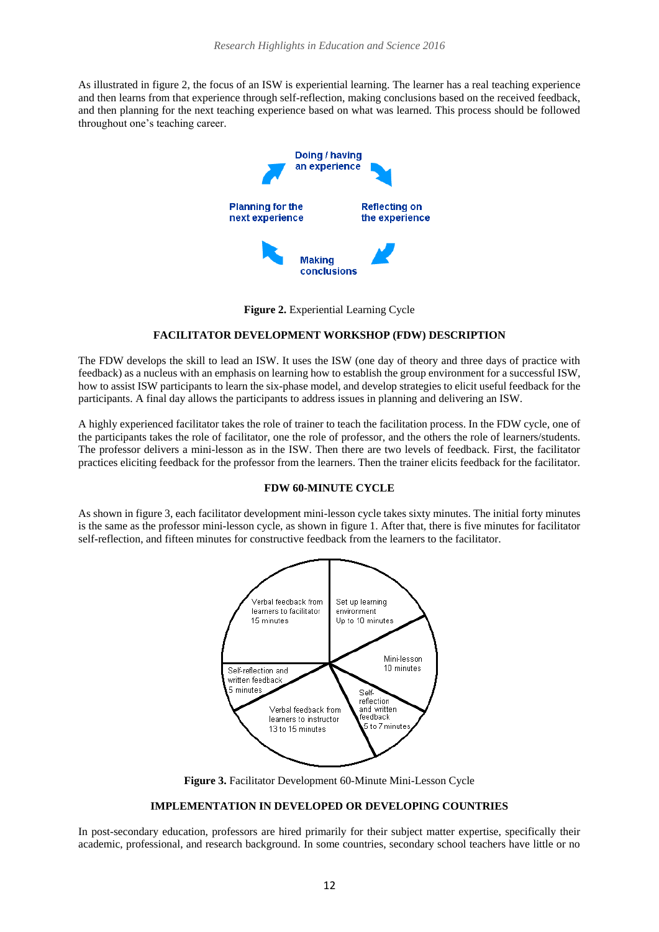As illustrated in figure 2, the focus of an ISW is experiential learning. The learner has a real teaching experience and then learns from that experience through self-reflection, making conclusions based on the received feedback, and then planning for the next teaching experience based on what was learned. This process should be followed throughout one's teaching career.



**Figure 2.** Experiential Learning Cycle

### **FACILITATOR DEVELOPMENT WORKSHOP (FDW) DESCRIPTION**

The FDW develops the skill to lead an ISW. It uses the ISW (one day of theory and three days of practice with feedback) as a nucleus with an emphasis on learning how to establish the group environment for a successful ISW, how to assist ISW participants to learn the six-phase model, and develop strategies to elicit useful feedback for the participants. A final day allows the participants to address issues in planning and delivering an ISW.

A highly experienced facilitator takes the role of trainer to teach the facilitation process. In the FDW cycle, one of the participants takes the role of facilitator, one the role of professor, and the others the role of learners/students. The professor delivers a mini-lesson as in the ISW. Then there are two levels of feedback. First, the facilitator practices eliciting feedback for the professor from the learners. Then the trainer elicits feedback for the facilitator.

#### **FDW 60-MINUTE CYCLE**

As shown in figure 3, each facilitator development mini-lesson cycle takes sixty minutes. The initial forty minutes is the same as the professor mini-lesson cycle, as shown in figure 1. After that, there is five minutes for facilitator self-reflection, and fifteen minutes for constructive feedback from the learners to the facilitator.



**Figure 3.** Facilitator Development 60-Minute Mini-Lesson Cycle

## **IMPLEMENTATION IN DEVELOPED OR DEVELOPING COUNTRIES**

In post-secondary education, professors are hired primarily for their subject matter expertise, specifically their academic, professional, and research background. In some countries, secondary school teachers have little or no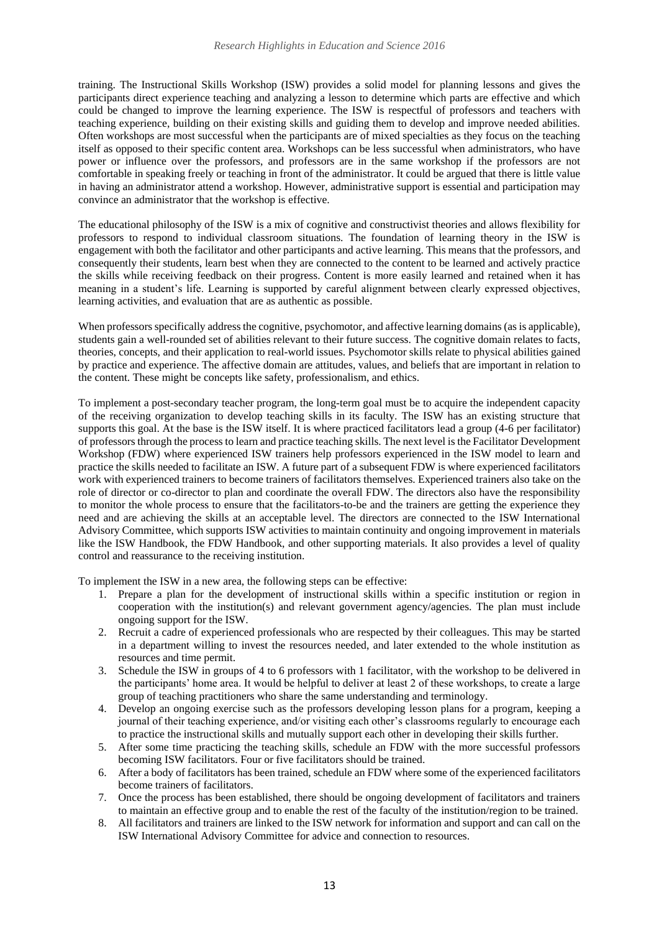training. The Instructional Skills Workshop (ISW) provides a solid model for planning lessons and gives the participants direct experience teaching and analyzing a lesson to determine which parts are effective and which could be changed to improve the learning experience. The ISW is respectful of professors and teachers with teaching experience, building on their existing skills and guiding them to develop and improve needed abilities. Often workshops are most successful when the participants are of mixed specialties as they focus on the teaching itself as opposed to their specific content area. Workshops can be less successful when administrators, who have power or influence over the professors, and professors are in the same workshop if the professors are not comfortable in speaking freely or teaching in front of the administrator. It could be argued that there is little value in having an administrator attend a workshop. However, administrative support is essential and participation may convince an administrator that the workshop is effective.

The educational philosophy of the ISW is a mix of cognitive and constructivist theories and allows flexibility for professors to respond to individual classroom situations. The foundation of learning theory in the ISW is engagement with both the facilitator and other participants and active learning. This means that the professors, and consequently their students, learn best when they are connected to the content to be learned and actively practice the skills while receiving feedback on their progress. Content is more easily learned and retained when it has meaning in a student's life. Learning is supported by careful alignment between clearly expressed objectives, learning activities, and evaluation that are as authentic as possible.

When professors specifically address the cognitive, psychomotor, and affective learning domains (as is applicable), students gain a well-rounded set of abilities relevant to their future success. The cognitive domain relates to facts, theories, concepts, and their application to real-world issues. Psychomotor skills relate to physical abilities gained by practice and experience. The affective domain are attitudes, values, and beliefs that are important in relation to the content. These might be concepts like safety, professionalism, and ethics.

To implement a post-secondary teacher program, the long-term goal must be to acquire the independent capacity of the receiving organization to develop teaching skills in its faculty. The ISW has an existing structure that supports this goal. At the base is the ISW itself. It is where practiced facilitators lead a group (4-6 per facilitator) of professors through the process to learn and practice teaching skills. The next level is the Facilitator Development Workshop (FDW) where experienced ISW trainers help professors experienced in the ISW model to learn and practice the skills needed to facilitate an ISW. A future part of a subsequent FDW is where experienced facilitators work with experienced trainers to become trainers of facilitators themselves. Experienced trainers also take on the role of director or co-director to plan and coordinate the overall FDW. The directors also have the responsibility to monitor the whole process to ensure that the facilitators-to-be and the trainers are getting the experience they need and are achieving the skills at an acceptable level. The directors are connected to the ISW International Advisory Committee, which supports ISW activities to maintain continuity and ongoing improvement in materials like the ISW Handbook, the FDW Handbook, and other supporting materials. It also provides a level of quality control and reassurance to the receiving institution.

To implement the ISW in a new area, the following steps can be effective:

- 1. Prepare a plan for the development of instructional skills within a specific institution or region in cooperation with the institution(s) and relevant government agency/agencies. The plan must include ongoing support for the ISW.
- 2. Recruit a cadre of experienced professionals who are respected by their colleagues. This may be started in a department willing to invest the resources needed, and later extended to the whole institution as resources and time permit.
- 3. Schedule the ISW in groups of 4 to 6 professors with 1 facilitator, with the workshop to be delivered in the participants' home area. It would be helpful to deliver at least 2 of these workshops, to create a large group of teaching practitioners who share the same understanding and terminology.
- 4. Develop an ongoing exercise such as the professors developing lesson plans for a program, keeping a journal of their teaching experience, and/or visiting each other's classrooms regularly to encourage each to practice the instructional skills and mutually support each other in developing their skills further.
- 5. After some time practicing the teaching skills, schedule an FDW with the more successful professors becoming ISW facilitators. Four or five facilitators should be trained.
- 6. After a body of facilitators has been trained, schedule an FDW where some of the experienced facilitators become trainers of facilitators.
- 7. Once the process has been established, there should be ongoing development of facilitators and trainers to maintain an effective group and to enable the rest of the faculty of the institution/region to be trained.
- 8. All facilitators and trainers are linked to the ISW network for information and support and can call on the ISW International Advisory Committee for advice and connection to resources.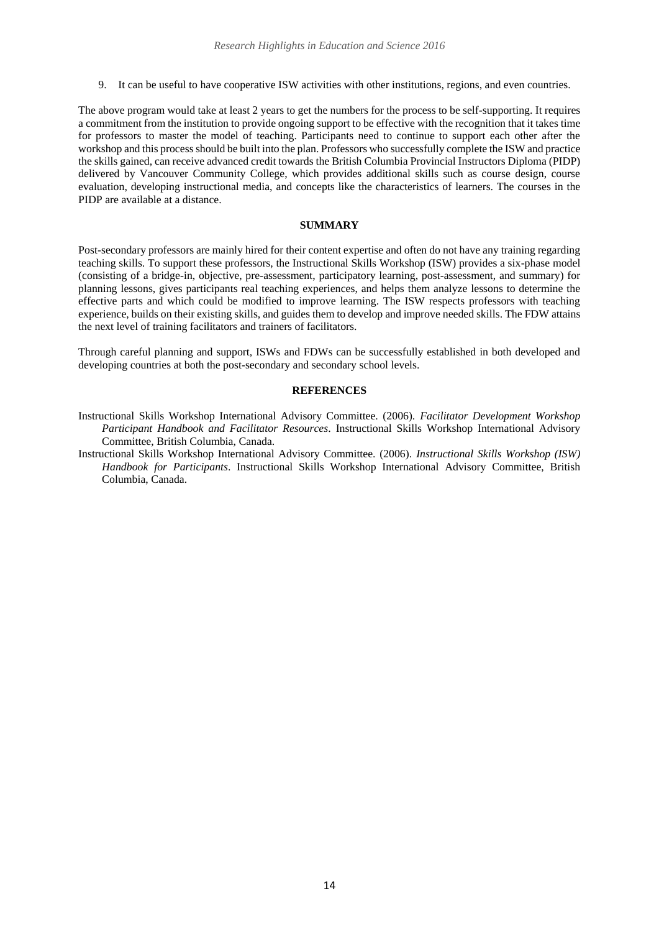9. It can be useful to have cooperative ISW activities with other institutions, regions, and even countries.

The above program would take at least 2 years to get the numbers for the process to be self-supporting. It requires a commitment from the institution to provide ongoing support to be effective with the recognition that it takes time for professors to master the model of teaching. Participants need to continue to support each other after the workshop and this process should be built into the plan. Professors who successfully complete the ISW and practice the skills gained, can receive advanced credit towards the British Columbia Provincial Instructors Diploma (PIDP) delivered by Vancouver Community College, which provides additional skills such as course design, course evaluation, developing instructional media, and concepts like the characteristics of learners. The courses in the PIDP are available at a distance.

## **SUMMARY**

Post-secondary professors are mainly hired for their content expertise and often do not have any training regarding teaching skills. To support these professors, the Instructional Skills Workshop (ISW) provides a six-phase model (consisting of a bridge-in, objective, pre-assessment, participatory learning, post-assessment, and summary) for planning lessons, gives participants real teaching experiences, and helps them analyze lessons to determine the effective parts and which could be modified to improve learning. The ISW respects professors with teaching experience, builds on their existing skills, and guides them to develop and improve needed skills. The FDW attains the next level of training facilitators and trainers of facilitators.

Through careful planning and support, ISWs and FDWs can be successfully established in both developed and developing countries at both the post-secondary and secondary school levels.

#### **REFERENCES**

- Instructional Skills Workshop International Advisory Committee. (2006). *Facilitator Development Workshop Participant Handbook and Facilitator Resources*. Instructional Skills Workshop International Advisory Committee, British Columbia, Canada.
- Instructional Skills Workshop International Advisory Committee. (2006). *Instructional Skills Workshop (ISW) Handbook for Participants*. Instructional Skills Workshop International Advisory Committee, British Columbia, Canada.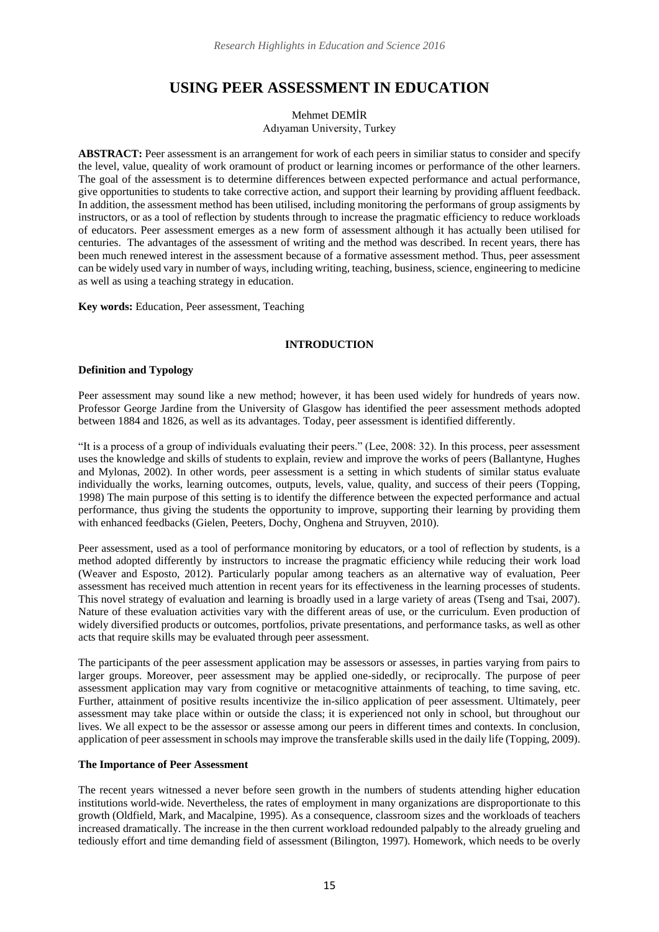# **USING PEER ASSESSMENT IN EDUCATION**

Mehmet DEMİR Adıyaman University, Turkey

**ABSTRACT:** Peer assessment is an arrangement for work of each peers in similiar status to consider and specify the level, value, queality of work oramount of product or learning incomes or performance of the other learners. The goal of the assessment is to determine differences between expected performance and actual performance, give opportunities to students to take corrective action, and support their learning by providing affluent feedback. In addition, the assessment method has been utilised, including monitoring the performans of group assigments by instructors, or as a tool of reflection by students through to increase the pragmatic efficiency to reduce workloads of educators. Peer assessment emerges as a new form of assessment although it has actually been utilised for centuries. The advantages of the assessment of writing and the method was described. In recent years, there has been much renewed interest in the assessment because of a formative assessment method. Thus, peer assessment can be widely used vary in number of ways, including writing, teaching, business, science, engineering to medicine as well as using a teaching strategy in education.

**Key words:** Education, Peer assessment, Teaching

### **INTRODUCTION**

#### **Definition and Typology**

Peer assessment may sound like a new method; however, it has been used widely for hundreds of years now. Professor George Jardine from the University of Glasgow has identified the peer assessment methods adopted between 1884 and 1826, as well as its advantages. Today, peer assessment is identified differently.

"It is a process of a group of individuals evaluating their peers." (Lee, 2008: 32). In this process, peer assessment uses the knowledge and skills of students to explain, review and improve the works of peers (Ballantyne, Hughes and Mylonas, 2002). In other words, peer assessment is a setting in which students of similar status evaluate individually the works, learning outcomes, outputs, levels, value, quality, and success of their peers (Topping, 1998) The main purpose of this setting is to identify the difference between the expected performance and actual performance, thus giving the students the opportunity to improve, supporting their learning by providing them with enhanced feedbacks (Gielen, Peeters, Dochy, Onghena and Struyven, 2010).

Peer assessment, used as a tool of performance monitoring by educators, or a tool of reflection by students, is a method adopted differently by instructors to increase the pragmatic efficiency while reducing their work load (Weaver and Esposto, 2012). Particularly popular among teachers as an alternative way of evaluation, Peer assessment has received much attention in recent years for its [effectiveness](http://tureng.com/en/turkish-english/effectiveness) in the learning processes of students. This novel strategy of evaluation and learning is broadly used in a large variety of areas (Tseng and Tsai, 2007). Nature of these evaluation activities vary with the different areas of use, or the curriculum. Even production of widely diversified products or outcomes, portfolios, private presentations, and performance tasks, as well as other acts that require skills may be evaluated through peer assessment.

The participants of the peer assessment application may be assessors or assesses, in parties varying from pairs to larger groups. Moreover, peer assessment may be applied one-sidedly, or reciprocally. The purpose of peer assessment application may vary from cognitive or metacognitive attainments of teaching, to time saving, etc. Further, attainment of positive results [incentivize](http://tureng.com/en/turkish-english/incentivise) the in-silico application of peer assessment. Ultimately, peer assessment may take place within or outside the class; it is experienced not only in school, but throughout our lives. We all expect to be the assessor or assesse among our peers in different times and contexts. In conclusion, application of peer assessment in schools may improve the transferable skills used in the daily life (Topping, 2009).

#### **The Importance of Peer Assessment**

The recent years witnessed a never before seen growth in the numbers of students attending higher education institutions world-wide. Nevertheless, the rates of employment in many organizations are [disproportionate to](http://tureng.com/en/turkish-english/disproportionate%20to) this growth (Oldfield, Mark, and Macalpine, 1995). As a consequence, classroom sizes and the workloads of teachers increased dramatically. The increase in the then current workload redounded palpably to the already grueling and tediously effort and time demanding field of assessment (Bilington, 1997). Homework, which needs to be overly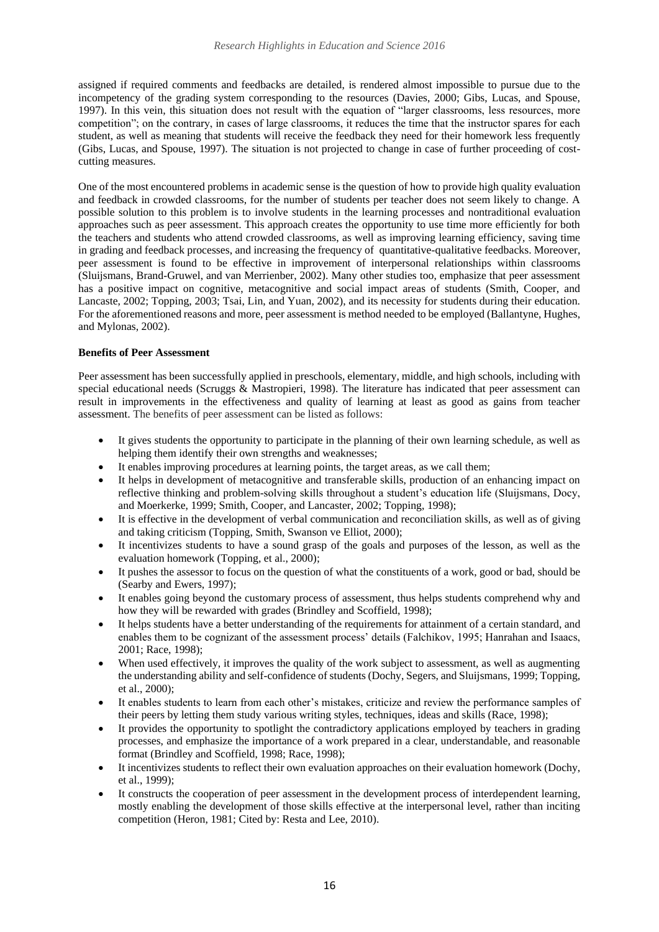assigned if required comments and feedbacks are detailed, is rendered almost impossible to pursue due to the incompetency of the grading system corresponding to the resources (Davies, 2000; Gibs, Lucas, and Spouse, 1997). In this vein, this situation does not result with the equation of "larger classrooms, less resources, more competition"; on the contrary, in cases of large classrooms, it reduces the time that the instructor spares for each student, as well as meaning that students will receive the feedback they need for their homework less frequently (Gibs, Lucas, and Spouse, 1997). The situation is not projected to change in case of further proceeding of costcutting measures.

One of the most encountered problems in academic sense is the question of how to provide high quality evaluation and feedback in crowded classrooms, for the number of students per teacher does not seem likely to change. A possible solution to this problem is to involve students in the learning processes and nontraditional evaluation approaches such as peer assessment. This approach creates the opportunity to use time more efficiently for both the teachers and students who attend crowded classrooms, as well as improving learning efficiency, saving time in grading and feedback processes, and increasing the frequency of [quantitative-qualitative](http://tureng.com/en/turkish-english/quantitative-qualitative%20data) feedbacks. Moreover, peer assessment is found to be effective in improvement of interpersonal relationships within classrooms (Sluijsmans, Brand-Gruwel, and van Merrienber, 2002). Many other studies too, emphasize that peer assessment has a positive impact on cognitive, metacognitive and social impact areas of students (Smith, Cooper, and Lancaste, 2002; Topping, 2003; Tsai, Lin, and Yuan, 2002), and its necessity for students during their education. For the aforementioned reasons and more, peer assessment is method needed to be employed (Ballantyne, Hughes, and Mylonas, 2002).

## **Benefits of Peer Assessment**

Peer assessment has been successfully applied in preschools, elementary, middle, and high schools, including with special educational needs (Scruggs & Mastropieri, 1998). The literature has indicated that peer assessment can result in improvements in the effectiveness and quality of learning at least as good as gains from teacher assessment. The benefits of peer assessment can be listed as follows:

- It gives students the opportunity to participate in the planning of their own learning schedule, as well as helping them identify their own strengths and weaknesses;
- It enables improving procedures at learning points, the target areas, as we call them;
- It helps in development of metacognitive and transferable skills, production of an enhancing impact on reflective thinking and problem-solving skills throughout a student's education life (Sluijsmans, Docy, and Moerkerke, 1999; Smith, Cooper, and Lancaster, 2002; Topping, 1998);
- It is effective in the development of verbal communication and [reconciliation](http://tureng.com/en/turkish-english/reconciliation) skills, as well as of giving and taking criticism (Topping, Smith, Swanson ve Elliot, 2000);
- It [incentivizes](http://tureng.com/en/turkish-english/incentivize) students to have a sound grasp of the goals and purposes of the lesson, as well as the evaluation homework (Topping, et al., 2000);
- It pushes the assessor to focus on the question of what the constituents of a work, good or bad, should be (Searby and Ewers, 1997);
- It enables going beyond the customary process of assessment, thus helps students comprehend why and how they will be rewarded with grades (Brindley and Scoffield, 1998);
- It helps students have a better understanding of the requirements for attainment of a certain standard, and enables them to be cognizant of the assessment process' details (Falchikov, 1995; Hanrahan and Isaacs, 2001; Race, 1998);
- When used effectively, it improves the quality of the work subject to assessment, as well as augmenting the understanding ability and self-confidence of students (Dochy, Segers, and Sluijsmans, 1999; Topping, et al., 2000);
- It enables students to learn from each other's mistakes, criticize and review the performance samples of their peers by letting them study various writing styles, techniques, ideas and skills (Race, 1998);
- It provides the opportunity to spotlight the contradictory applications employed by teachers in grading processes, and emphasize the importance of a work prepared in a clear, understandable, and reasonable format (Brindley and Scoffield, 1998; Race, 1998);
- It incentivizes students to reflect their own evaluation approaches on their evaluation homework (Dochy, et al., 1999);
- It constructs the cooperation of peer assessment in the development process of interdependent learning, mostly enabling the development of those skills effective at the interpersonal level, rather than inciting competition (Heron, 1981; Cited by: Resta and Lee, 2010).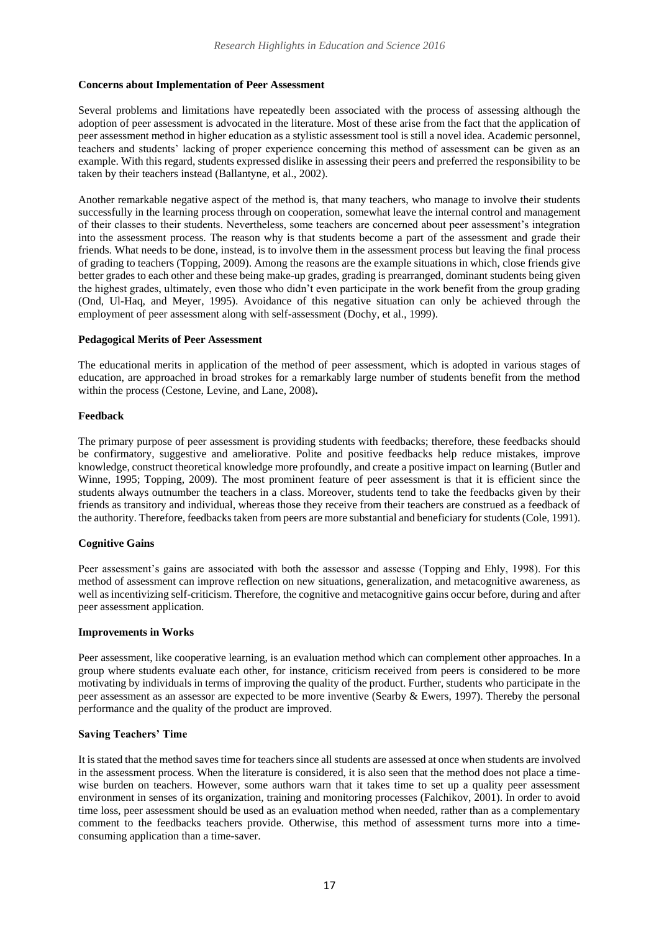## **Concerns about Implementation of Peer Assessment**

Several problems and limitations have repeatedly been associated with the process of assessing although the adoption of peer assessment is advocated in the literature. Most of these arise from the fact that the application of peer assessment method in higher education as a stylistic assessment tool is still a novel idea. Academic personnel, teachers and students' lacking of proper experience concerning this method of assessment can be given as an example. With this regard, students expressed dislike in assessing their peers and preferred the responsibility to be taken by their teachers instead (Ballantyne, et al., 2002).

Another remarkable negative aspect of the method is, that many teachers, who manage to involve their students successfully in the learning process through on cooperation, somewhat leave the internal control and management of their classes to their students. Nevertheless, some teachers are concerned about peer assessment's integration into the assessment process. The reason why is that students become a part of the assessment and grade their friends. What needs to be done, instead, is to involve them in the assessment process but leaving the final process of grading to teachers (Topping, 2009). Among the reasons are the example situations in which, close friends give better grades to each other and these being make-up grades, grading is prearranged, dominant students being given the highest grades, ultimately, even those who didn't even participate in the work benefit from the group grading (Ond, Ul-Haq, and Meyer, 1995). Avoidance of this negative situation can only be achieved through the employment of peer assessment along with self-assessment (Dochy, et al., 1999).

### **Pedagogical Merits of Peer Assessment**

The educational merits in application of the method of peer assessment, which is adopted in various stages of education, are approached in broad strokes for a remarkably large number of students benefit from the method within the process (Cestone, Levine, and Lane, 2008)**.**

## **Feedback**

The primary purpose of peer assessment is providing students with feedbacks; therefore, these feedbacks should be confirmatory, suggestive and ameliorative. Polite and positive feedbacks help reduce mistakes, improve knowledge, construct theoretical knowledge more profoundly, and create a positive impact on learning (Butler and Winne, 1995; Topping, 2009). The most prominent feature of peer assessment is that it is efficient since the students always outnumber the teachers in a class. Moreover, students tend to take the feedbacks given by their friends as transitory and individual, whereas those they receive from their teachers are construed as a feedback of the authority. Therefore, feedbacks taken from peers are more substantial and beneficiary for students (Cole, 1991).

## **Cognitive Gains**

Peer assessment's gains are associated with both the assessor and assesse (Topping and Ehly, 1998). For this method of assessment can improve reflection on new situations, generalization, and metacognitive awareness, as well as incentivizing self-criticism. Therefore, the cognitive and metacognitive gains occur before, during and after peer assessment application.

#### **Improvements in Works**

Peer assessment, like cooperative learning, is an evaluation method which can complement other approaches. In a group where students evaluate each other, for instance, criticism received from peers is considered to be more motivating by individuals in terms of improving the quality of the product. Further, students who participate in the peer assessment as an assessor are expected to be more inventive (Searby & Ewers, 1997). Thereby the personal performance and the quality of the product are improved.

## **Saving Teachers' Time**

It is stated that the method saves time for teachers since all students are assessed at once when students are involved in the assessment process. When the literature is considered, it is also seen that the method does not place a timewise burden on teachers. However, some authors warn that it takes time to set up a quality peer assessment environment in senses of its organization, training and monitoring processes (Falchikov, 2001). In order to avoid time loss, peer assessment should be used as an evaluation method when needed, rather than as a complementary comment to the feedbacks teachers provide. Otherwise, this method of assessment turns more into a timeconsuming application than a time-saver.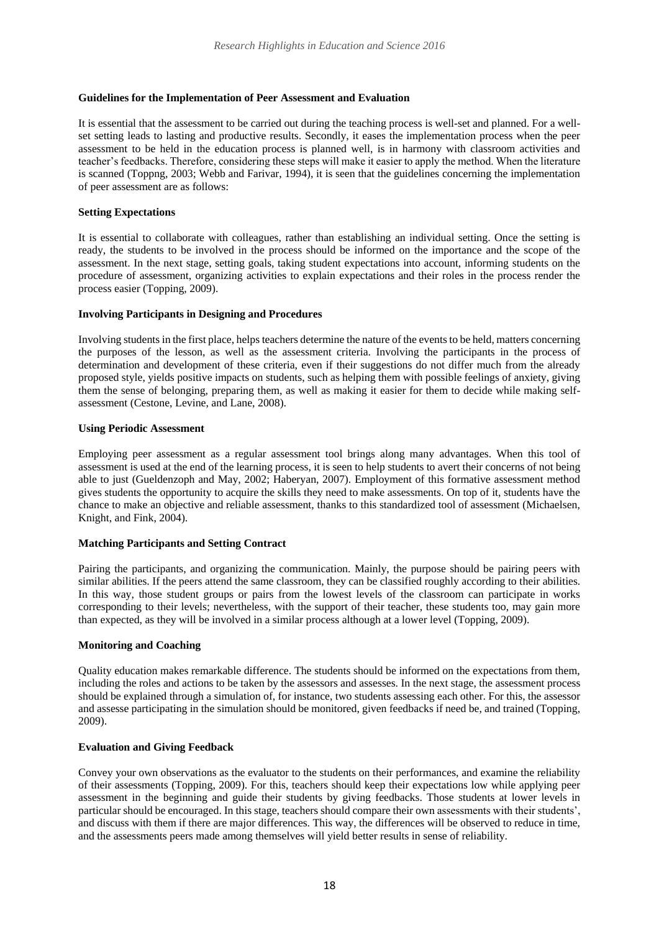## **Guidelines for the Implementation of Peer Assessment and Evaluation**

It is essential that the assessment to be carried out during the teaching process is well-set and planned. For a wellset setting leads to lasting and productive results. Secondly, it eases the implementation process when the peer assessment to be held in the education process is planned well, is in harmony with classroom activities and teacher's feedbacks. Therefore, considering these steps will make it easier to apply the method. When the literature is scanned (Toppng, 2003; Webb and Farivar, 1994), it is seen that the guidelines concerning the implementation of peer assessment are as follows:

## **Setting Expectations**

It is essential to collaborate with colleagues, rather than establishing an individual setting. Once the setting is ready, the students to be involved in the process should be informed on the importance and the scope of the assessment. In the next stage, setting goals, taking student expectations into account, informing students on the procedure of assessment, organizing activities to explain expectations and their roles in the process render the process easier (Topping, 2009).

### **Involving Participants in Designing and Procedures**

Involving students in the first place, helps teachers determine the nature of the events to be held, matters concerning the purposes of the lesson, as well as the assessment criteria. Involving the participants in the process of determination and development of these criteria, even if their suggestions do not differ much from the already proposed style, yields positive impacts on students, such as helping them with possible feelings of anxiety, giving them the sense of belonging, preparing them, as well as making it easier for them to decide while making selfassessment (Cestone, Levine, and Lane, 2008).

### **Using Periodic Assessment**

Employing peer assessment as a regular assessment tool brings along many advantages. When this tool of assessment is used at the end of the learning process, it is seen to help students to avert their concerns of not being able to just (Gueldenzoph and May, 2002; Haberyan, 2007). Employment of this formative assessment method gives students the opportunity to acquire the skills they need to make assessments. On top of it, students have the chance to make an objective and reliable assessment, thanks to this standardized tool of assessment (Michaelsen, Knight, and Fink, 2004).

## **Matching Participants and Setting Contract**

Pairing the participants, and organizing the communication. Mainly, the purpose should be pairing peers with similar abilities. If the peers attend the same classroom, they can be classified roughly according to their abilities. In this way, those student groups or pairs from the lowest levels of the classroom can participate in works corresponding to their levels; nevertheless, with the support of their teacher, these students too, may gain more than expected, as they will be involved in a similar process although at a lower level (Topping, 2009).

## **Monitoring and Coaching**

Quality education makes remarkable difference. The students should be informed on the expectations from them, including the roles and actions to be taken by the assessors and assesses. In the next stage, the assessment process should be explained through a simulation of, for instance, two students assessing each other. For this, the assessor and assesse participating in the simulation should be monitored, given feedbacks if need be, and trained (Topping, 2009).

## **Evaluation and Giving Feedback**

Convey your own observations as the evaluator to the students on their performances, and examine the reliability of their assessments (Topping, 2009). For this, teachers should keep their expectations low while applying peer assessment in the beginning and guide their students by giving feedbacks. Those students at lower levels in particular should be encouraged. In this stage, teachers should compare their own assessments with their students', and discuss with them if there are major differences. This way, the differences will be observed to reduce in time, and the assessments peers made among themselves will yield better results in sense of reliability.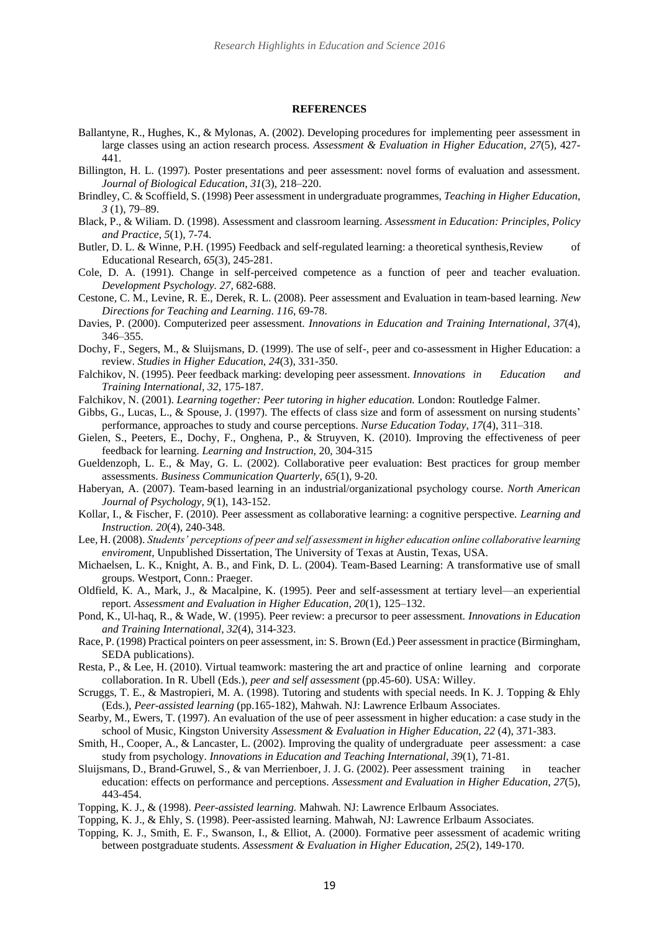#### **REFERENCES**

- Ballantyne, R., Hughes, K., & Mylonas, A. (2002). Developing procedures for implementing peer assessment in large classes using an action research process. *Assessment & Evaluation in Higher Education, 27*(5), 427- 441.
- Billington, H. L. (1997). Poster presentations and peer assessment: novel forms of evaluation and assessment. *Journal of Biological Education*, *31*(3), 218–220.
- Brindley, C. & Scoffield, S. (1998) Peer assessment in undergraduate programmes, *Teaching in Higher Education*, *3* (1), 79–89.
- Black, P., & Wiliam. D. (1998). Assessment and classroom learning. *Assessment in Education: Principles, Policy and Practice*, *5*(1), 7-74.
- Butler, D. L. & Winne, P.H. (1995) Feedback and self-regulated learning: a theoretical synthesis, Review of Educational Research*, 65*(3), 245-281.
- Cole, D. A. (1991). Change in self-perceived competence as a function of peer and teacher evaluation. *Development Psychology. 27,* 682-688.
- Cestone, C. M., Levine, R. E., Derek, R. L. (2008). Peer assessment and Evaluation in team-based learning. *New Directions for Teaching and Learning*. *116*, 69-78.
- Davies, P. (2000). Computerized peer assessment. *Innovations in Education and Training International*, *37*(4), 346–355.
- Dochy, F., Segers, M., & Sluijsmans, D. (1999). The use of self-, peer and co-assessment in Higher Education: a review. *Studies in Higher Education*, *24*(3), 331-350.
- Falchikov, N. (1995). Peer feedback marking: developing peer assessment. *Innovations in Education and Training International, 32*, 175-187.
- Falchikov, N. (2001). *Learning together: Peer tutoring in higher education.* London: Routledge Falmer.
- Gibbs, G., Lucas, L., & Spouse, J. (1997). The effects of class size and form of assessment on nursing students' performance, approaches to study and course perceptions. *Nurse Education Today*, *17*(4), 311–318.
- Gielen, S., Peeters, E., Dochy, F., Onghena, P., & Struyven, K. (2010). Improving the effectiveness of peer feedback for learning. *Learning and Instruction*, 20, 304-315
- Gueldenzoph, L. E., & May, G. L. (2002). Collaborative peer evaluation: Best practices for group member assessments. *Business Communication Quarterly, 65*(1), 9-20.
- Haberyan, A. (2007). Team-based learning in an industrial/organizational psychology course. *North American Journal of Psychology, 9*(1), 143-152.
- Kollar, I., & Fischer, F. (2010). Peer assessment as collaborative learning: a cognitive perspective. *Learning and Instruction. 20*(4), 240-348.
- Lee, H. (2008). *Students' perceptions of peer and self assessment in higher education online collaborative learning enviroment,* Unpublished Dissertation, The University of Texas at Austin, Texas, USA.
- Michaelsen, L. K., Knight, A. B., and Fink, D. L. (2004). Team-Based Learning: A transformative use of small groups. Westport, Conn.: Praeger.
- Oldfield, K. A., Mark, J., & Macalpine, K. (1995). Peer and self-assessment at tertiary level—an experiential report. *Assessment and Evaluation in Higher Education*, *20*(1), 125–132.
- Pond, K., Ul-haq, R., & Wade, W. (1995). Peer review: a precursor to peer assessment. *Innovations in Education and Training International, 32*(4), 314-323.
- Race, P. (1998) Practical pointers on peer assessment, in: S. Brown (Ed.) Peer assessment in practice (Birmingham, SEDA publications).
- Resta, P., & Lee, H. (2010). Virtual teamwork: mastering the art and practice of online learning and corporate collaboration. In R. Ubell (Eds.), *peer and self assessment* (pp.45-60). USA: Willey.
- Scruggs, T. E., & Mastropieri, M. A. (1998). Tutoring and students with special needs. In K. J. Topping & Ehly (Eds.), *Peer-assisted learning* (pp.165-182), Mahwah. NJ: Lawrence Erlbaum Associates.
- Searby, M., Ewers, T. (1997). An evaluation of the use of peer assessment in higher education: a case study in the school of Music, Kingston University *Assessment & Evaluation in Higher Education, 22* (4), 371-383.
- Smith, H., Cooper, A., & Lancaster, L. (2002). Improving the quality of undergraduate peer assessment: a case study from psychology. *Innovations in Education and Teaching International*, *39*(1), 71-81.
- Sluijsmans, D., Brand-Gruwel, S., & van Merrienboer, J. J. G. (2002). Peer assessment training in teacher education: effects on performance and perceptions. *Assessment and Evaluation in Higher Education*, *27*(5), 443-454.
- Topping, K. J., & (1998). *Peer-assisted learning.* Mahwah. NJ: Lawrence Erlbaum Associates.
- Topping, K. J., & Ehly, S. (1998). Peer-assisted learning. Mahwah, NJ: Lawrence Erlbaum Associates.
- Topping, K. J., Smith, E. F., Swanson, I., & Elliot, A. (2000). Formative peer assessment of academic writing between postgraduate students. *Assessment & Evaluation in Higher Education, 25*(2), 149-170.